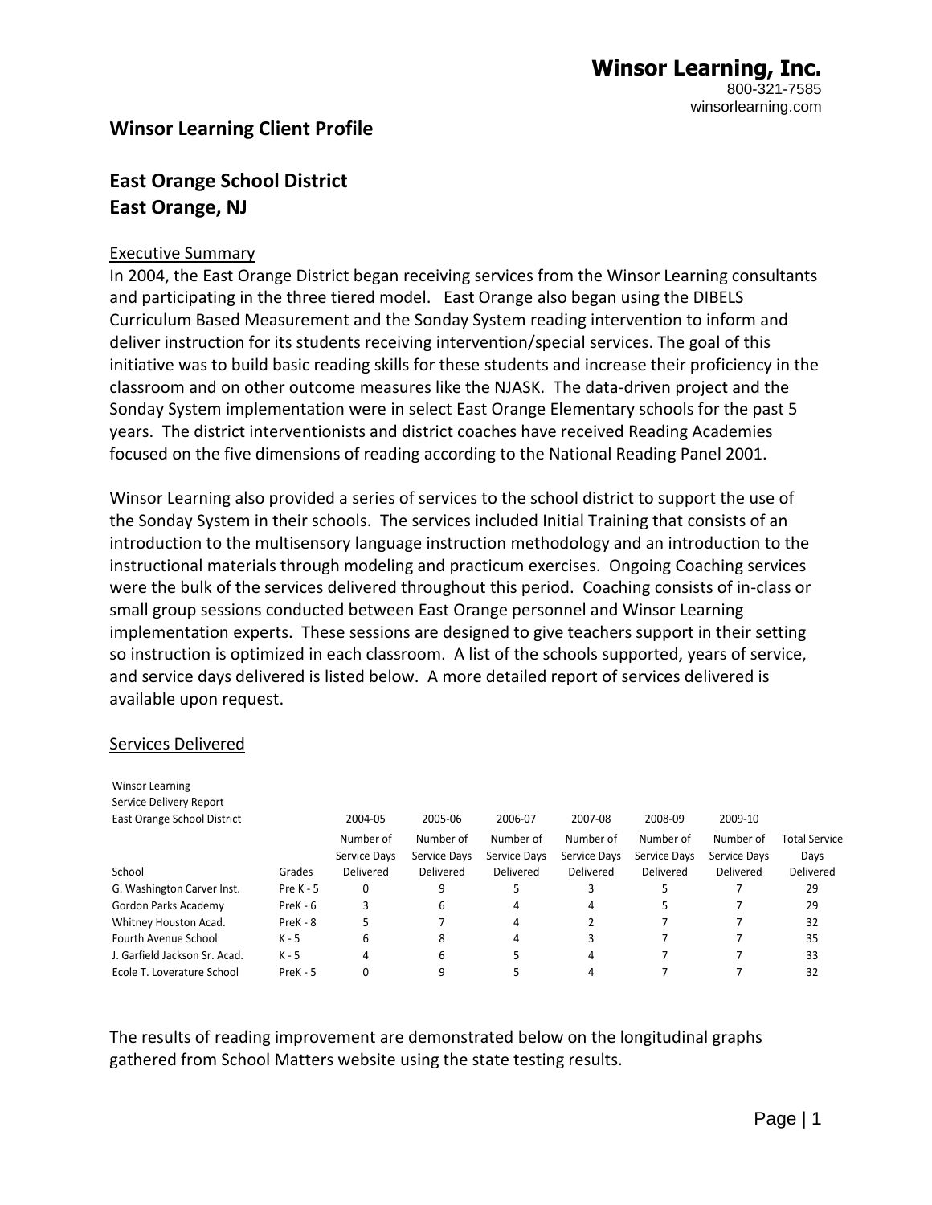## **Winsor Learning Client Profile**

# **East Orange School District East Orange, NJ**

#### Executive Summary

In 2004, the East Orange District began receiving services from the Winsor Learning consultants and participating in the three tiered model. East Orange also began using the DIBELS Curriculum Based Measurement and the Sonday System reading intervention to inform and deliver instruction for its students receiving intervention/special services. The goal of this initiative was to build basic reading skills for these students and increase their proficiency in the classroom and on other outcome measures like the NJASK. The data-driven project and the Sonday System implementation were in select East Orange Elementary schools for the past 5 years. The district interventionists and district coaches have received Reading Academies focused on the five dimensions of reading according to the National Reading Panel 2001.

Winsor Learning also provided a series of services to the school district to support the use of the Sonday System in their schools. The services included Initial Training that consists of an introduction to the multisensory language instruction methodology and an introduction to the instructional materials through modeling and practicum exercises. Ongoing Coaching services were the bulk of the services delivered throughout this period. Coaching consists of in-class or small group sessions conducted between East Orange personnel and Winsor Learning implementation experts. These sessions are designed to give teachers support in their setting so instruction is optimized in each classroom. A list of the schools supported, years of service, and service days delivered is listed below. A more detailed report of services delivered is available upon request.

#### Services Delivered

| <b>Winsor Learning</b><br>Service Delivery Report |             |              |              |              |              |              |              |               |
|---------------------------------------------------|-------------|--------------|--------------|--------------|--------------|--------------|--------------|---------------|
| East Orange School District                       |             | 2004-05      | 2005-06      | 2006-07      | 2007-08      | 2008-09      | 2009-10      |               |
|                                                   |             | Number of    | Number of    | Number of    | Number of    | Number of    | Number of    | Total Service |
|                                                   |             | Service Days | Service Days | Service Davs | Service Days | Service Days | Service Days | Days          |
| School                                            | Grades      | Delivered    | Delivered    | Delivered    | Delivered    | Delivered    | Delivered    | Delivered     |
| G. Washington Carver Inst.                        | Pre $K - 5$ | 0            | 9            | כ            | 3            |              |              | 29            |
| Gordon Parks Academy                              | $PreK - 6$  | 3            | 6            | 4            | 4            |              |              | 29            |
| Whitney Houston Acad.                             | PreK - 8    | 5.           |              | 4            |              |              |              | 32            |
| Fourth Avenue School                              | $K - 5$     | 6            | 8            | 4            | ς            |              |              | 35            |
| J. Garfield Jackson Sr. Acad.                     | $K - 5$     | 4            | 6            |              | 4            |              |              | 33            |
| Ecole T. Loverature School                        | PreK - 5    |              | 9            |              | 4            |              |              | 32            |

The results of reading improvement are demonstrated below on the longitudinal graphs gathered from School Matters website using the state testing results.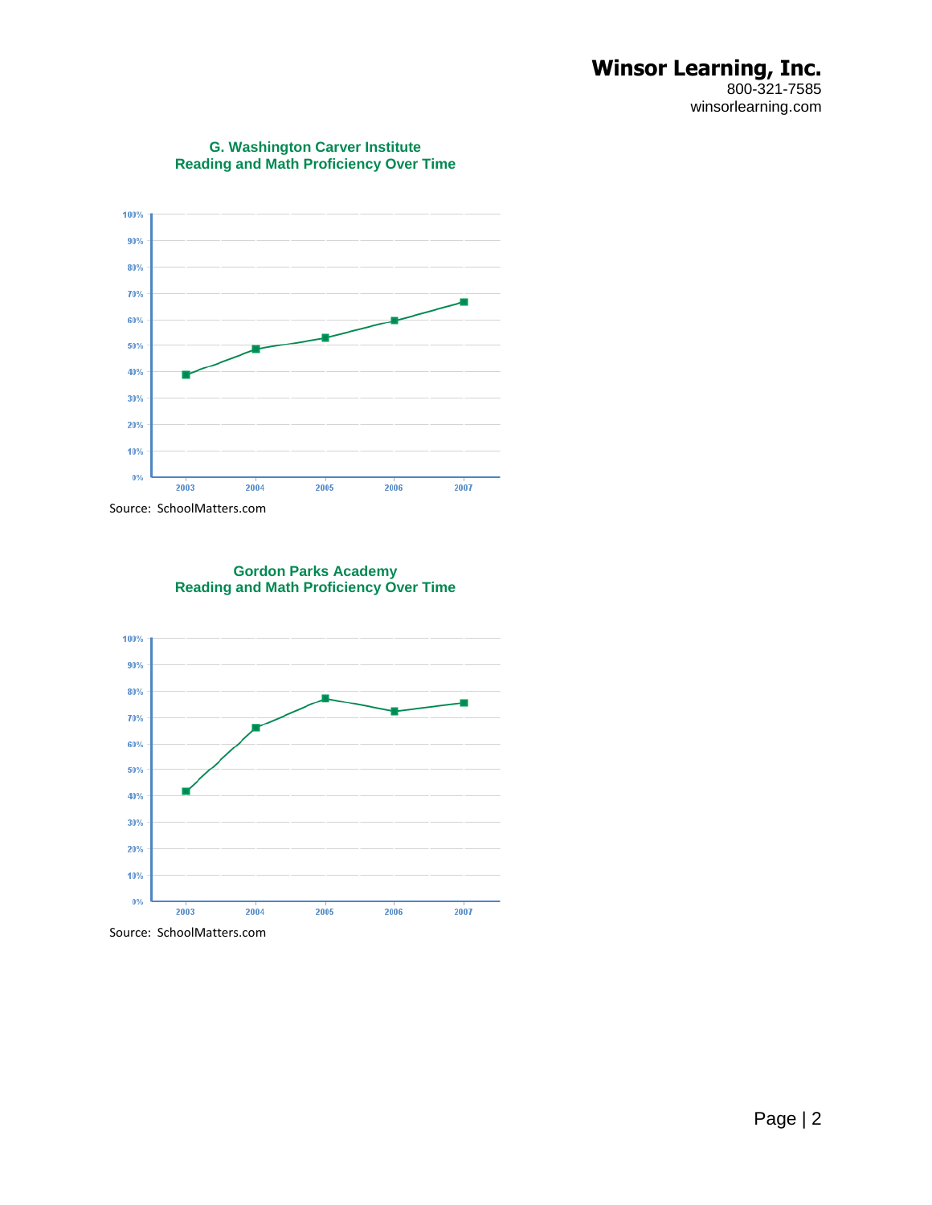#### **Winsor Learning, Inc.** 800-321-7585 winsorlearning.com



#### **G. Washington Carver Institute Reading and Math Proficiency Over Time**

Source: SchoolMatters.com



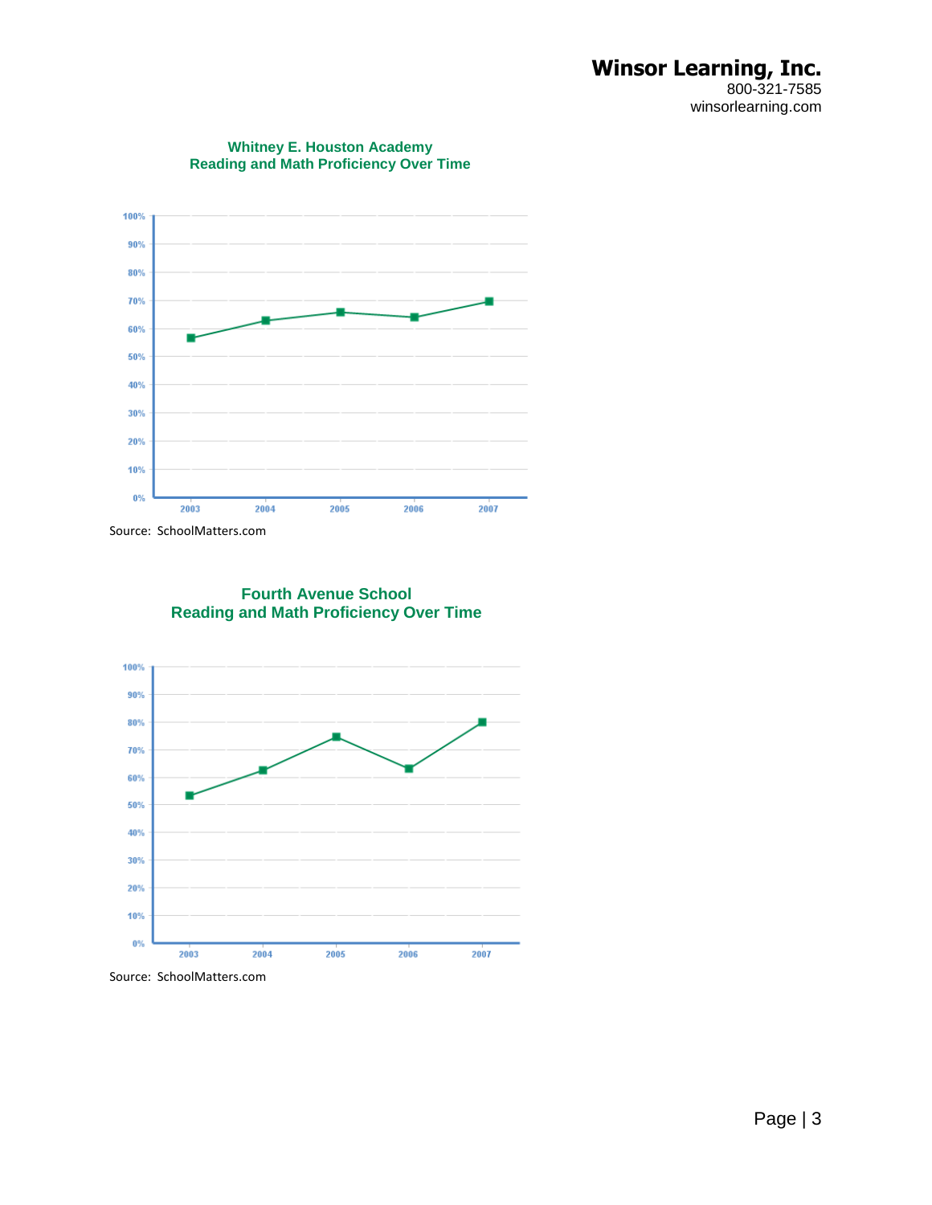### **Winsor Learning, Inc.** 800-321-7585 winsorlearning.com



**Whitney E. Houston Academy Reading and Math Proficiency Over Time**

Source: SchoolMatters.com

**Fourth Avenue School Reading and Math Proficiency Over Time**